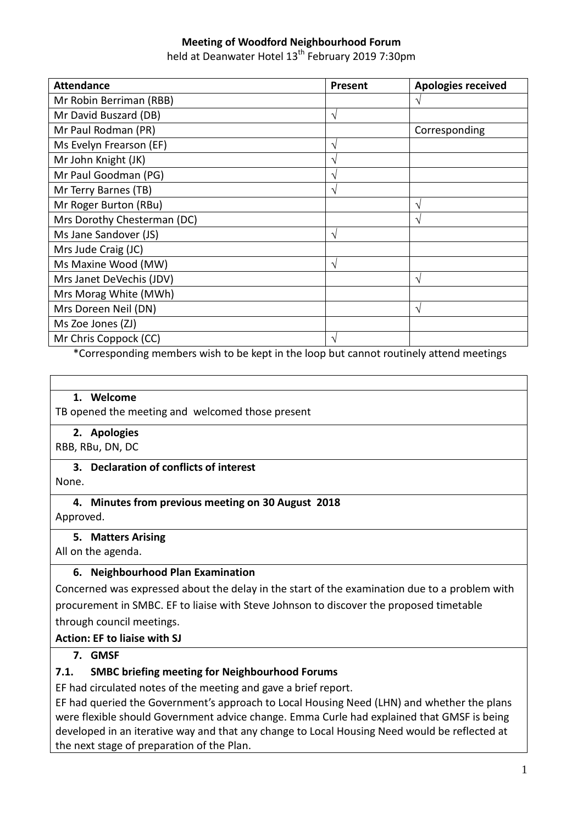## **Meeting of Woodford Neighbourhood Forum**

held at Deanwater Hotel 13<sup>th</sup> February 2019 7:30pm

| <b>Attendance</b>           | <b>Present</b> | <b>Apologies received</b> |
|-----------------------------|----------------|---------------------------|
| Mr Robin Berriman (RBB)     |                |                           |
| Mr David Buszard (DB)       | V              |                           |
| Mr Paul Rodman (PR)         |                | Corresponding             |
| Ms Evelyn Frearson (EF)     | ٦              |                           |
| Mr John Knight (JK)         | ٦              |                           |
| Mr Paul Goodman (PG)        | ٦              |                           |
| Mr Terry Barnes (TB)        | ٦              |                           |
| Mr Roger Burton (RBu)       |                | ٦                         |
| Mrs Dorothy Chesterman (DC) |                |                           |
| Ms Jane Sandover (JS)       | V              |                           |
| Mrs Jude Craig (JC)         |                |                           |
| Ms Maxine Wood (MW)         | ٦              |                           |
| Mrs Janet DeVechis (JDV)    |                | ٦                         |
| Mrs Morag White (MWh)       |                |                           |
| Mrs Doreen Neil (DN)        |                | ٦                         |
| Ms Zoe Jones (ZJ)           |                |                           |
| Mr Chris Coppock (CC)       | ٦              |                           |

\*Corresponding members wish to be kept in the loop but cannot routinely attend meetings

#### **1. Welcome**

TB opened the meeting and welcomed those present

#### **2. Apologies**

RBB, RBu, DN, DC

## **3. Declaration of conflicts of interest**

None.

# **4. Minutes from previous meeting on 30 August 2018**

Approved.

#### **5. Matters Arising**

All on the agenda.

### **6. Neighbourhood Plan Examination**

Concerned was expressed about the delay in the start of the examination due to a problem with procurement in SMBC. EF to liaise with Steve Johnson to discover the proposed timetable through council meetings.

#### **Action: EF to liaise with SJ**

### **7. GMSF**

### **7.1. SMBC briefing meeting for Neighbourhood Forums**

EF had circulated notes of the meeting and gave a brief report.

EF had queried the Government's approach to Local Housing Need (LHN) and whether the plans were flexible should Government advice change. Emma Curle had explained that GMSF is being developed in an iterative way and that any change to Local Housing Need would be reflected at the next stage of preparation of the Plan.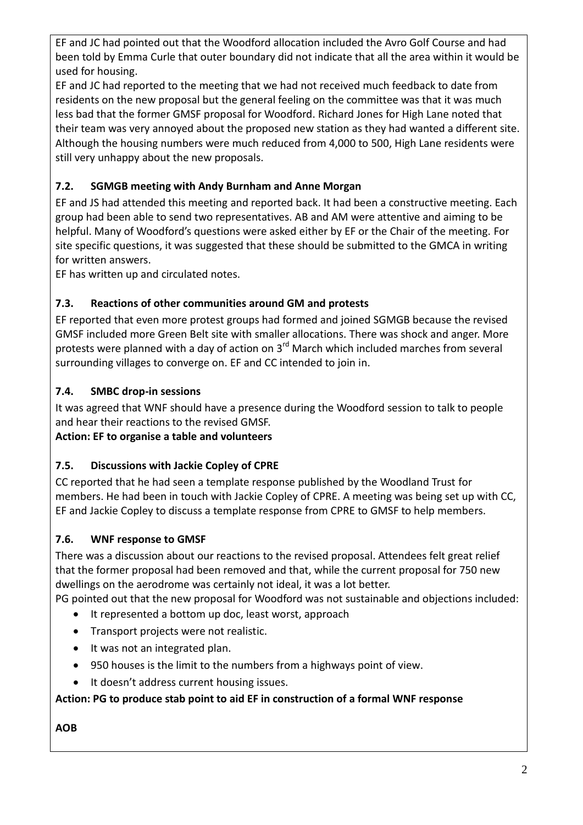EF and JC had pointed out that the Woodford allocation included the Avro Golf Course and had been told by Emma Curle that outer boundary did not indicate that all the area within it would be used for housing.

EF and JC had reported to the meeting that we had not received much feedback to date from residents on the new proposal but the general feeling on the committee was that it was much less bad that the former GMSF proposal for Woodford. Richard Jones for High Lane noted that their team was very annoyed about the proposed new station as they had wanted a different site. Although the housing numbers were much reduced from 4,000 to 500, High Lane residents were still very unhappy about the new proposals.

# **7.2. SGMGB meeting with Andy Burnham and Anne Morgan**

EF and JS had attended this meeting and reported back. It had been a constructive meeting. Each group had been able to send two representatives. AB and AM were attentive and aiming to be helpful. Many of Woodford's questions were asked either by EF or the Chair of the meeting. For site specific questions, it was suggested that these should be submitted to the GMCA in writing for written answers.

EF has written up and circulated notes.

# **7.3. Reactions of other communities around GM and protests**

EF reported that even more protest groups had formed and joined SGMGB because the revised GMSF included more Green Belt site with smaller allocations. There was shock and anger. More protests were planned with a day of action on  $3<sup>rd</sup>$  March which included marches from several surrounding villages to converge on. EF and CC intended to join in.

# **7.4. SMBC drop-in sessions**

It was agreed that WNF should have a presence during the Woodford session to talk to people and hear their reactions to the revised GMSF.

**Action: EF to organise a table and volunteers**

# **7.5. Discussions with Jackie Copley of CPRE**

CC reported that he had seen a template response published by the Woodland Trust for members. He had been in touch with Jackie Copley of CPRE. A meeting was being set up with CC, EF and Jackie Copley to discuss a template response from CPRE to GMSF to help members.

## **7.6. WNF response to GMSF**

There was a discussion about our reactions to the revised proposal. Attendees felt great relief that the former proposal had been removed and that, while the current proposal for 750 new dwellings on the aerodrome was certainly not ideal, it was a lot better.

PG pointed out that the new proposal for Woodford was not sustainable and objections included:

- It represented a bottom up doc, least worst, approach
- Transport projects were not realistic.
- $\bullet$  It was not an integrated plan.
- 950 houses is the limit to the numbers from a highways point of view.
- It doesn't address current housing issues.

## **Action: PG to produce stab point to aid EF in construction of a formal WNF response**

# **AOB**